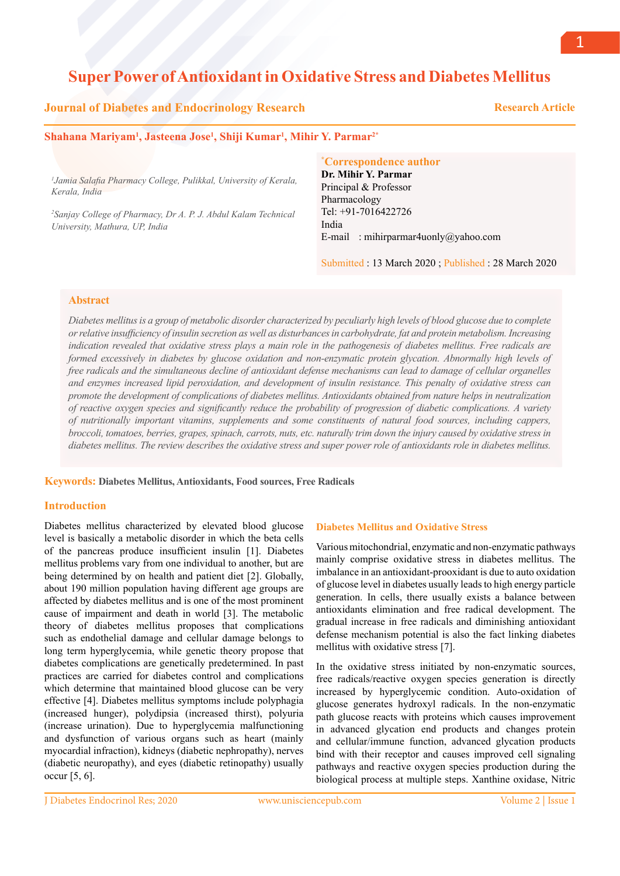# **Super Power of Antioxidant in Oxidative Stress and Diabetes Mellitus**

## **Journal of Diabetes and Endocrinology Research**

 **Research Article**

### **Shahana Mariyam1 , Jasteena Jose1 , Shiji Kumar1 , Mihir Y. Parmar2\***

*1 Jamia Salafia Pharmacy College, Pulikkal, University of Kerala, Kerala, India*

*2 Sanjay College of Pharmacy, Dr A. P. J. Abdul Kalam Technical University, Mathura, UP, India*

#### **\* Correspondence author**

**Dr. Mihir Y. Parmar** Principal & Professor Pharmacology Tel: +91-7016422726 India E-mail : mihirparmar4uonly@yahoo.com

Submitted : 13 March 2020 ; Published : 28 March 2020

## **Abstract**

*Diabetes mellitus is a group of metabolic disorder characterized by peculiarly high levels of blood glucose due to complete or relative insufficiency of insulin secretion as well as disturbances in carbohydrate, fat and protein metabolism. Increasing indication revealed that oxidative stress plays a main role in the pathogenesis of diabetes mellitus. Free radicals are formed excessively in diabetes by glucose oxidation and non-enzymatic protein glycation. Abnormally high levels of free radicals and the simultaneous decline of antioxidant defense mechanisms can lead to damage of cellular organelles and enzymes increased lipid peroxidation, and development of insulin resistance. This penalty of oxidative stress can promote the development of complications of diabetes mellitus. Antioxidants obtained from nature helps in neutralization of reactive oxygen species and significantly reduce the probability of progression of diabetic complications. A variety of nutritionally important vitamins, supplements and some constituents of natural food sources, including cappers, broccoli, tomatoes, berries, grapes, spinach, carrots, nuts, etc. naturally trim down the injury caused by oxidative stress in diabetes mellitus. The review describes the oxidative stress and super power role of antioxidants role in diabetes mellitus.* 

**Keywords: Diabetes Mellitus, Antioxidants, Food sources, Free Radicals** 

## **Introduction**

Diabetes mellitus characterized by elevated blood glucose level is basically a metabolic disorder in which the beta cells of the pancreas produce insufficient insulin [1]. Diabetes mellitus problems vary from one individual to another, but are being determined by on health and patient diet [2]. Globally, about 190 million population having different age groups are affected by diabetes mellitus and is one of the most prominent cause of impairment and death in world [3]. The metabolic theory of diabetes mellitus proposes that complications such as endothelial damage and cellular damage belongs to long term hyperglycemia, while genetic theory propose that diabetes complications are genetically predetermined. In past practices are carried for diabetes control and complications which determine that maintained blood glucose can be very effective [4]. Diabetes mellitus symptoms include polyphagia (increased hunger), polydipsia (increased thirst), polyuria (increase urination). Due to hyperglycemia malfunctioning and dysfunction of various organs such as heart (mainly myocardial infraction), kidneys (diabetic nephropathy), nerves (diabetic neuropathy), and eyes (diabetic retinopathy) usually occur [5, 6].

#### **Diabetes Mellitus and Oxidative Stress**

Various mitochondrial, enzymatic and non-enzymatic pathways mainly comprise oxidative stress in diabetes mellitus. The imbalance in an antioxidant-prooxidant is due to auto oxidation of glucose level in diabetes usually leads to high energy particle generation. In cells, there usually exists a balance between antioxidants elimination and free radical development. The gradual increase in free radicals and diminishing antioxidant defense mechanism potential is also the fact linking diabetes mellitus with oxidative stress [7].

In the oxidative stress initiated by non-enzymatic sources, free radicals/reactive oxygen species generation is directly increased by hyperglycemic condition. Auto-oxidation of glucose generates hydroxyl radicals. In the non-enzymatic path glucose reacts with proteins which causes improvement in advanced glycation end products and changes protein and cellular/immune function, advanced glycation products bind with their receptor and causes improved cell signaling pathways and reactive oxygen species production during the biological process at multiple steps. Xanthine oxidase, Nitric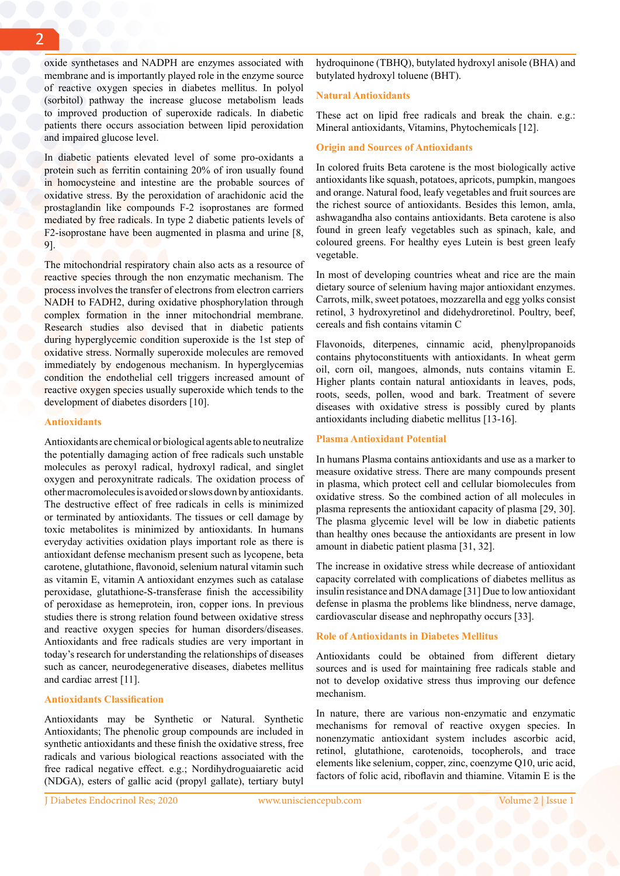oxide synthetases and NADPH are enzymes associated with membrane and is importantly played role in the enzyme source of reactive oxygen species in diabetes mellitus. In polyol (sorbitol) pathway the increase glucose metabolism leads to improved production of superoxide radicals. In diabetic patients there occurs association between lipid peroxidation and impaired glucose level.

In diabetic patients elevated level of some pro-oxidants a protein such as ferritin containing 20% of iron usually found in homocysteine and intestine are the probable sources of oxidative stress. By the peroxidation of arachidonic acid the prostaglandin like compounds F-2 isoprostanes are formed mediated by free radicals. In type 2 diabetic patients levels of F2-isoprostane have been augmented in plasma and urine [8, 9].

The mitochondrial respiratory chain also acts as a resource of reactive species through the non enzymatic mechanism. The process involves the transfer of electrons from electron carriers NADH to FADH2, during oxidative phosphorylation through complex formation in the inner mitochondrial membrane. Research studies also devised that in diabetic patients during hyperglycemic condition superoxide is the 1st step of oxidative stress. Normally superoxide molecules are removed immediately by endogenous mechanism. In hyperglycemias condition the endothelial cell triggers increased amount of reactive oxygen species usually superoxide which tends to the development of diabetes disorders [10].

#### **Antioxidants**

Antioxidants are chemical or biological agents able to neutralize the potentially damaging action of free radicals such unstable molecules as peroxyl radical, hydroxyl radical, and singlet oxygen and peroxynitrate radicals. The oxidation process of other macromolecules is avoided or slows down by antioxidants. The destructive effect of free radicals in cells is minimized or terminated by antioxidants. The tissues or cell damage by toxic metabolites is minimized by antioxidants. In humans everyday activities oxidation plays important role as there is antioxidant defense mechanism present such as lycopene, beta carotene, glutathione, flavonoid, selenium natural vitamin such as vitamin E, vitamin A antioxidant enzymes such as catalase peroxidase, glutathione-S-transferase finish the accessibility of peroxidase as hemeprotein, iron, copper ions. In previous studies there is strong relation found between oxidative stress and reactive oxygen species for human disorders/diseases. Antioxidants and free radicals studies are very important in today's research for understanding the relationships of diseases such as cancer, neurodegenerative diseases, diabetes mellitus and cardiac arrest [11].

#### **Antioxidants Classification**

Antioxidants may be Synthetic or Natural. Synthetic Antioxidants; The phenolic group compounds are included in synthetic antioxidants and these finish the oxidative stress, free radicals and various biological reactions associated with the free radical negative effect. e.g.; Nordihydroguaiaretic acid (NDGA), esters of gallic acid (propyl gallate), tertiary butyl

J Diabetes Endocrinol Res; 2020 www.unisciencepub.com

hydroquinone (TBHQ), butylated hydroxyl anisole (BHA) and butylated hydroxyl toluene (BHT).

## **Natural Antioxidants**

These act on lipid free radicals and break the chain. e.g.: Mineral antioxidants, Vitamins, Phytochemicals [12].

### **Origin and Sources of Antioxidants**

In colored fruits Beta carotene is the most biologically active antioxidants like squash, potatoes, apricots, pumpkin, mangoes and orange. Natural food, leafy vegetables and fruit sources are the richest source of antioxidants. Besides this lemon, amla, ashwagandha also contains antioxidants. Beta carotene is also found in green leafy vegetables such as spinach, kale, and coloured greens. For healthy eyes Lutein is best green leafy vegetable.

In most of developing countries wheat and rice are the main dietary source of selenium having major antioxidant enzymes. Carrots, milk, sweet potatoes, mozzarella and egg yolks consist retinol, 3 hydroxyretinol and didehydroretinol. Poultry, beef, cereals and fish contains vitamin C

Flavonoids, diterpenes, cinnamic acid, phenylpropanoids contains phytoconstituents with antioxidants. In wheat germ oil, corn oil, mangoes, almonds, nuts contains vitamin E. Higher plants contain natural antioxidants in leaves, pods, roots, seeds, pollen, wood and bark. Treatment of severe diseases with oxidative stress is possibly cured by plants antioxidants including diabetic mellitus [13-16].

## **Plasma Antioxidant Potential**

In humans Plasma contains antioxidants and use as a marker to measure oxidative stress. There are many compounds present in plasma, which protect cell and cellular biomolecules from oxidative stress. So the combined action of all molecules in plasma represents the antioxidant capacity of plasma [29, 30]. The plasma glycemic level will be low in diabetic patients than healthy ones because the antioxidants are present in low amount in diabetic patient plasma [31, 32].

The increase in oxidative stress while decrease of antioxidant capacity correlated with complications of diabetes mellitus as insulin resistance and DNA damage [31] Due to low antioxidant defense in plasma the problems like blindness, nerve damage, cardiovascular disease and nephropathy occurs [33].

## **Role of Antioxidants in Diabetes Mellitus**

Antioxidants could be obtained from different dietary sources and is used for maintaining free radicals stable and not to develop oxidative stress thus improving our defence mechanism.

In nature, there are various non-enzymatic and enzymatic mechanisms for removal of reactive oxygen species. In nonenzymatic antioxidant system includes ascorbic acid, retinol, glutathione, carotenoids, tocopherols, and trace elements like selenium, copper, zinc, coenzyme Q10, uric acid, factors of folic acid, riboflavin and thiamine. Vitamin E is the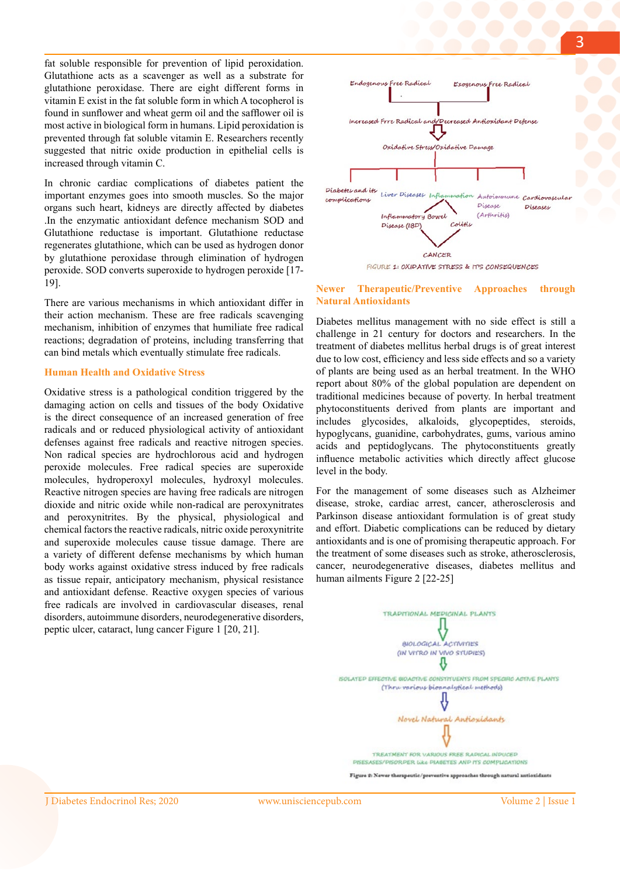fat soluble responsible for prevention of lipid peroxidation. Glutathione acts as a scavenger as well as a substrate for glutathione peroxidase. There are eight different forms in vitamin E exist in the fat soluble form in which A tocopherol is found in sunflower and wheat germ oil and the safflower oil is most active in biological form in humans. Lipid peroxidation is prevented through fat soluble vitamin E. Researchers recently suggested that nitric oxide production in epithelial cells is increased through vitamin C.

In chronic cardiac complications of diabetes patient the important enzymes goes into smooth muscles. So the major organs such heart, kidneys are directly affected by diabetes .In the enzymatic antioxidant defence mechanism SOD and Glutathione reductase is important. Glutathione reductase regenerates glutathione, which can be used as hydrogen donor by glutathione peroxidase through elimination of hydrogen peroxide. SOD converts superoxide to hydrogen peroxide [17- 19].

There are various mechanisms in which antioxidant differ in their action mechanism. These are free radicals scavenging mechanism, inhibition of enzymes that humiliate free radical reactions; degradation of proteins, including transferring that can bind metals which eventually stimulate free radicals.

#### **Human Health and Oxidative Stress**

Oxidative stress is a pathological condition triggered by the damaging action on cells and tissues of the body Oxidative is the direct consequence of an increased generation of free radicals and or reduced physiological activity of antioxidant defenses against free radicals and reactive nitrogen species. Non radical species are hydrochlorous acid and hydrogen peroxide molecules. Free radical species are superoxide molecules, hydroperoxyl molecules, hydroxyl molecules. Reactive nitrogen species are having free radicals are nitrogen dioxide and nitric oxide while non-radical are peroxynitrates and peroxynitrites. By the physical, physiological and chemical factors the reactive radicals, nitric oxide peroxynitrite and superoxide molecules cause tissue damage. There are a variety of different defense mechanisms by which human body works against oxidative stress induced by free radicals as tissue repair, anticipatory mechanism, physical resistance and antioxidant defense. Reactive oxygen species of various free radicals are involved in cardiovascular diseases, renal disorders, autoimmune disorders, neurodegenerative disorders, peptic ulcer, cataract, lung cancer Figure 1 [20, 21].



FIGURE 1: OXIDATIVE STRESS & IT'S CONSEQUENCES

#### **Newer Therapeutic/Preventive Approaches through Natural Antioxidants**

Diabetes mellitus management with no side effect is still a challenge in 21 century for doctors and researchers. In the treatment of diabetes mellitus herbal drugs is of great interest due to low cost, efficiency and less side effects and so a variety of plants are being used as an herbal treatment. In the WHO report about 80% of the global population are dependent on traditional medicines because of poverty. In herbal treatment phytoconstituents derived from plants are important and includes glycosides, alkaloids, glycopeptides, steroids, hypoglycans, guanidine, carbohydrates, gums, various amino acids and peptidoglycans. The phytoconstituents greatly influence metabolic activities which directly affect glucose level in the body.

For the management of some diseases such as Alzheimer disease, stroke, cardiac arrest, cancer, atherosclerosis and Parkinson disease antioxidant formulation is of great study and effort. Diabetic complications can be reduced by dietary antioxidants and is one of promising therapeutic approach. For the treatment of some diseases such as stroke, atherosclerosis, cancer, neurodegenerative diseases, diabetes mellitus and human ailments Figure 2 [22-25]



Figure 2: Newer therapeutic/preventive approaches through natural autioxidants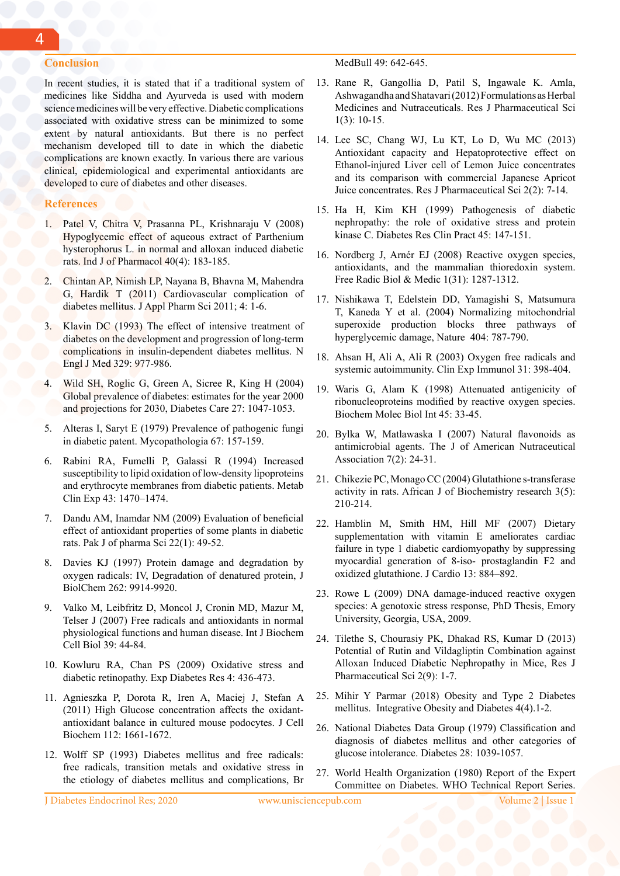## **Conclusion**

In recent studies, it is stated that if a traditional system of medicines like Siddha and Ayurveda is used with modern science medicines will be very effective. Diabetic complications associated with oxidative stress can be minimized to some extent by natural antioxidants. But there is no perfect mechanism developed till to date in which the diabetic complications are known exactly. In various there are various clinical, epidemiological and experimental antioxidants are developed to cure of diabetes and other diseases.

#### **References**

- 1. Patel V, Chitra V, Prasanna PL, Krishnaraju V (2008) Hypoglycemic effect of aqueous extract of Parthenium hysterophorus L. in normal and alloxan induced diabetic rats. Ind J of Pharmacol 40(4): 183-185.
- 2. Chintan AP, Nimish LP, Nayana B, Bhavna M, Mahendra G, Hardik T (2011) Cardiovascular complication of diabetes mellitus. J Appl Pharm Sci 2011; 4: 1-6.
- Klavin DC (1993) The effect of intensive treatment of diabetes on the development and progression of long-term complications in insulin-dependent diabetes mellitus. N Engl J Med 329: 977-986.
- 4. Wild SH, Roglic G, Green A, Sicree R, King H (2004) Global prevalence of diabetes: estimates for the year 2000 and projections for 2030, Diabetes Care 27: 1047-1053.
- 5. Alteras I, Saryt E (1979) Prevalence of pathogenic fungi in diabetic patent. Mycopathologia 67: 157-159.
- 6. Rabini RA, Fumelli P, Galassi R (1994) Increased susceptibility to lipid oxidation of low-density lipoproteins and erythrocyte membranes from diabetic patients. Metab Clin Exp 43: 1470–1474.
- 7. Dandu AM, Inamdar NM (2009) Evaluation of beneficial effect of antioxidant properties of some plants in diabetic rats. Pak J of pharma Sci 22(1): 49-52.
- 8. Davies KJ (1997) Protein damage and degradation by oxygen radicals: IV, Degradation of denatured protein, J BiolChem 262: 9914-9920.
- 9. Valko M, Leibfritz D, Moncol J, Cronin MD, Mazur M, Telser J (2007) Free radicals and antioxidants in normal physiological functions and human disease. Int J Biochem Cell Biol 39: 44-84.
- 10. Kowluru RA, Chan PS (2009) Oxidative stress and diabetic retinopathy. Exp Diabetes Res 4: 436-473.
- 11. Agnieszka P, Dorota R, Iren A, Maciej J, Stefan A (2011) High Glucose concentration affects the oxidantantioxidant balance in cultured mouse podocytes. J Cell Biochem 112: 1661-1672.
- 12. Wolff SP (1993) Diabetes mellitus and free radicals: free radicals, transition metals and oxidative stress in the etiology of diabetes mellitus and complications, Br

MedBull 49: 642-645.

- 13. Rane R, Gangollia D, Patil S, Ingawale K. Amla, Ashwagandha and Shatavari (2012) Formulations as Herbal Medicines and Nutraceuticals. Res J Pharmaceutical Sci 1(3): 10-15.
- 14. Lee SC, Chang WJ, Lu KT, Lo D, Wu MC (2013) Antioxidant capacity and Hepatoprotective effect on Ethanol-injured Liver cell of Lemon Juice concentrates and its comparison with commercial Japanese Apricot Juice concentrates. Res J Pharmaceutical Sci 2(2): 7-14.
- 15. Ha H, Kim KH (1999) Pathogenesis of diabetic nephropathy: the role of oxidative stress and protein kinase C. Diabetes Res Clin Pract 45: 147-151.
- 16. Nordberg J, Arnér EJ (2008) Reactive oxygen species, antioxidants, and the mammalian thioredoxin system. Free Radic Biol & Medic 1(31): 1287-1312.
- 17. Nishikawa T, Edelstein DD, Yamagishi S, Matsumura T, Kaneda Y et al. (2004) Normalizing mitochondrial superoxide production blocks three pathways of hyperglycemic damage, Nature 404: 787-790.
- 18. Ahsan H, Ali A, Ali R (2003) Oxygen free radicals and systemic autoimmunity. Clin Exp Immunol 31: 398-404.
- 19. Waris G, Alam K (1998) Attenuated antigenicity of ribonucleoproteins modified by reactive oxygen species. Biochem Molec Biol Int 45: 33-45.
- 20. Bylka W, Matlawaska I (2007) Natural flavonoids as antimicrobial agents. The J of American Nutraceutical Association 7(2): 24-31.
- 21. Chikezie PC, Monago CC (2004) Glutathione s-transferase activity in rats. African J of Biochemistry research 3(5): 210-214.
- 22. Hamblin M, Smith HM, Hill MF (2007) Dietary supplementation with vitamin E ameliorates cardiac failure in type 1 diabetic cardiomyopathy by suppressing myocardial generation of 8-iso- prostaglandin F2 and oxidized glutathione. J Cardio 13: 884–892.
- 23. Rowe L (2009) DNA damage-induced reactive oxygen species: A genotoxic stress response, PhD Thesis, Emory University, Georgia, USA, 2009.
- 24. Tilethe S, Chourasiy PK, Dhakad RS, Kumar D (2013) Potential of Rutin and Vildagliptin Combination against Alloxan Induced Diabetic Nephropathy in Mice, Res J Pharmaceutical Sci 2(9): 1-7.
- 25. Mihir Y Parmar (2018) Obesity and Type 2 Diabetes mellitus. Integrative Obesity and Diabetes 4(4).1-2.
- 26. National Diabetes Data Group (1979) Classification and diagnosis of diabetes mellitus and other categories of glucose intolerance. Diabetes 28: 1039-1057.
- 27. World Health Organization (1980) Report of the Expert Committee on Diabetes. WHO Technical Report Series.

J Diabetes Endocrinol Res; 2020 www.unisciencepub.com